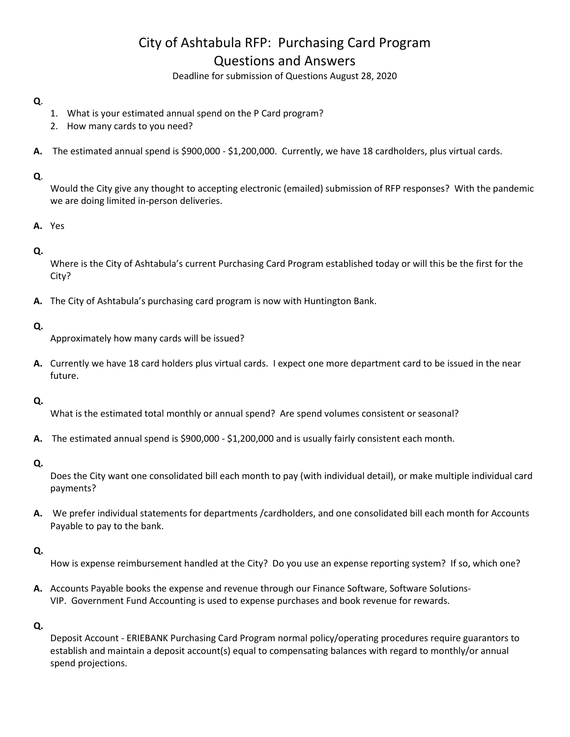# City of Ashtabula RFP: Purchasing Card Program Questions and Answers

Deadline for submission of Questions August 28, 2020

## **Q**.

- 1. What is your estimated annual spend on the P Card program?
- 2. How many cards to you need?
- **A.** The estimated annual spend is \$900,000 \$1,200,000. Currently, we have 18 cardholders, plus virtual cards.

## **Q**.

Would the City give any thought to accepting electronic (emailed) submission of RFP responses? With the pandemic we are doing limited in-person deliveries.

## **A.** Yes

## **Q.**

Where is the City of Ashtabula's current Purchasing Card Program established today or will this be the first for the City?

**A.** The City of Ashtabula's purchasing card program is now with Huntington Bank.

## **Q.**

Approximately how many cards will be issued?

**A.** Currently we have 18 card holders plus virtual cards. I expect one more department card to be issued in the near future.

## **Q.**

What is the estimated total monthly or annual spend? Are spend volumes consistent or seasonal?

**A.** The estimated annual spend is \$900,000 - \$1,200,000 and is usually fairly consistent each month.

#### **Q.**

Does the City want one consolidated bill each month to pay (with individual detail), or make multiple individual card payments?

**A.** We prefer individual statements for departments /cardholders, and one consolidated bill each month for Accounts Payable to pay to the bank.

# **Q.**

- How is expense reimbursement handled at the City? Do you use an expense reporting system? If so, which one?
- **A.** Accounts Payable books the expense and revenue through our Finance Software, Software Solutions-VIP. Government Fund Accounting is used to expense purchases and book revenue for rewards.

## **Q.**

Deposit Account - ERIEBANK Purchasing Card Program normal policy/operating procedures require guarantors to establish and maintain a deposit account(s) equal to compensating balances with regard to monthly/or annual spend projections.